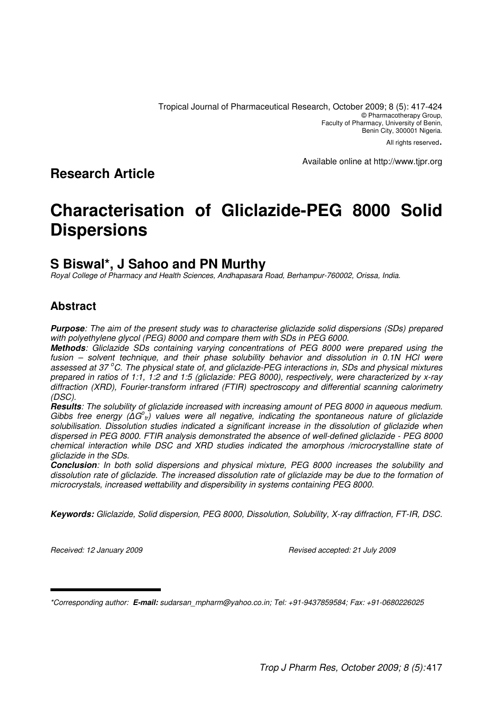All rights reserved.

Available online at http://www.tjpr.org

## **Research Article**

# **Characterisation of Gliclazide-PEG 8000 Solid Dispersions**

## **S Biswal\*, J Sahoo and PN Murthy**

Royal College of Pharmacy and Health Sciences, Andhapasara Road, Berhampur-760002, Orissa, India.

## **Abstract**

**Purpose**: The aim of the present study was to characterise gliclazide solid dispersions (SDs) prepared with polyethylene glycol (PEG) 8000 and compare them with SDs in PEG 6000.

**Methods**: Gliclazide SDs containing varying concentrations of PEG 8000 were prepared using the fusion – solvent technique, and their phase solubility behavior and dissolution in 0.1N HCl were assessed at 37 °C. The physical state of, and gliclazide-PEG interactions in, SDs and physical mixtures prepared in ratios of 1:1, 1:2 and 1:5 (gliclazide: PEG 8000), respectively, were characterized by x-ray diffraction (XRD), Fourier-transform infrared (FTIR) spectroscopy and differential scanning calorimetry (DSC).

**Results**: The solubility of gliclazide increased with increasing amount of PEG 8000 in aqueous medium. Gibbs free energy ( $\Delta G^{\circ}_{t}$ ) values were all negative, indicating the spontaneous nature of gliclazide solubilisation. Dissolution studies indicated a significant increase in the dissolution of gliclazide when dispersed in PEG 8000. FTIR analysis demonstrated the absence of well-defined gliclazide - PEG 8000 chemical interaction while DSC and XRD studies indicated the amorphous /microcrystalline state of gliclazide in the SDs.

**Conclusion**: In both solid dispersions and physical mixture, PEG 8000 increases the solubility and dissolution rate of gliclazide. The increased dissolution rate of gliclazide may be due to the formation of microcrystals, increased wettability and dispersibility in systems containing PEG 8000.

**Keywords:** Gliclazide, Solid dispersion, PEG 8000, Dissolution, Solubility, X-ray diffraction, FT-IR, DSC.

Received: 12 January 2009 Revised accepted: 21 July 2009

\*Corresponding author: **E-mail:** sudarsan\_mpharm@yahoo.co.in; Tel: +91-9437859584; Fax: +91-0680226025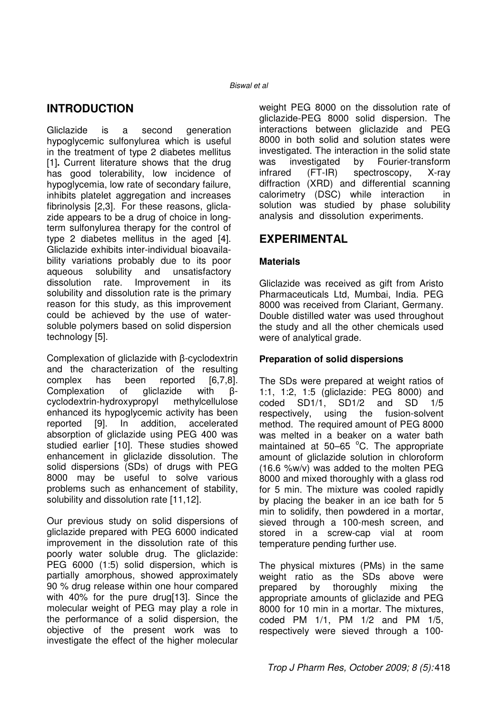## **INTRODUCTION**

Gliclazide is a second generation hypoglycemic sulfonylurea which is useful in the treatment of type 2 diabetes mellitus [1]**.** Current literature shows that the drug has good tolerability, low incidence of hypoglycemia, low rate of secondary failure, inhibits platelet aggregation and increases fibrinolysis [2,3]. For these reasons, gliclazide appears to be a drug of choice in longterm sulfonylurea therapy for the control of type 2 diabetes mellitus in the aged [4]. Gliclazide exhibits inter-individual bioavailability variations probably due to its poor aqueous solubility and unsatisfactory dissolution rate. Improvement in its solubility and dissolution rate is the primary reason for this study, as this improvement could be achieved by the use of watersoluble polymers based on solid dispersion technology [5].

Complexation of gliclazide with β-cyclodextrin and the characterization of the resulting complex has been reported [6,7,8].<br>Complexation of gliclazide with ß-Complexation of gliclazide with βcyclodextrin-hydroxypropyl methylcellulose enhanced its hypoglycemic activity has been reported [9]. In addition, accelerated absorption of gliclazide using PEG 400 was studied earlier [10]. These studies showed enhancement in gliclazide dissolution. The solid dispersions (SDs) of drugs with PEG 8000 may be useful to solve various problems such as enhancement of stability, solubility and dissolution rate [11,12].

Our previous study on solid dispersions of gliclazide prepared with PEG 6000 indicated improvement in the dissolution rate of this poorly water soluble drug. The gliclazide: PEG 6000 (1:5) solid dispersion, which is partially amorphous, showed approximately 90 % drug release within one hour compared with 40% for the pure drug[13]. Since the molecular weight of PEG may play a role in the performance of a solid dispersion, the objective of the present work was to investigate the effect of the higher molecular weight PEG 8000 on the dissolution rate of gliclazide-PEG 8000 solid dispersion. The interactions between gliclazide and PEG 8000 in both solid and solution states were investigated. The interaction in the solid state was investigated by Fourier-transform infrared (FT-IR) spectroscopy, X-ray diffraction (XRD) and differential scanning calorimetry (DSC) while interaction in solution was studied by phase solubility analysis and dissolution experiments.

## **EXPERIMENTAL**

#### **Materials**

Gliclazide was received as gift from Aristo Pharmaceuticals Ltd, Mumbai, India. PEG 8000 was received from Clariant, Germany. Double distilled water was used throughout the study and all the other chemicals used were of analytical grade.

#### **Preparation of solid dispersions**

The SDs were prepared at weight ratios of 1:1, 1:2, 1:5 (gliclazide: PEG 8000) and coded SD1/1, SD1/2 and SD 1/5 respectively, using the fusion-solvent method. The required amount of PEG 8000 was melted in a beaker on a water bath maintained at  $50-65$  °C. The appropriate amount of gliclazide solution in chloroform (16.6 %w/v) was added to the molten PEG 8000 and mixed thoroughly with a glass rod for 5 min. The mixture was cooled rapidly by placing the beaker in an ice bath for 5 min to solidify, then powdered in a mortar, sieved through a 100-mesh screen, and stored in a screw-cap vial at room temperature pending further use.

The physical mixtures (PMs) in the same weight ratio as the SDs above were prepared by thoroughly mixing the appropriate amounts of gliclazide and PEG 8000 for 10 min in a mortar. The mixtures, coded PM 1/1, PM 1/2 and PM 1/5, respectively were sieved through a 100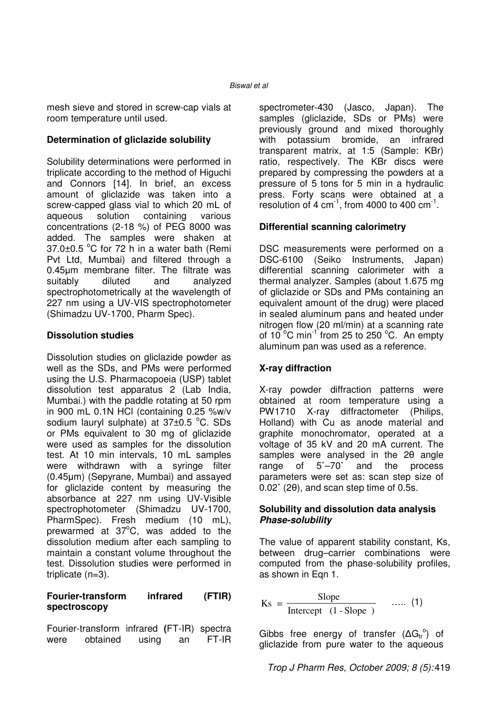mesh sieve and stored in screw-cap vials at room temperature until used.

#### **Determination of gliclazide solubility**

Solubility determinations were performed in triplicate according to the method of Higuchi and Connors [14]. In brief, an excess amount of gliclazide was taken into a screw-capped glass vial to which 20 mL of aqueous solution containing various concentrations (2-18 %) of PEG 8000 was added. The samples were shaken at  $37.0\pm0.5$  °C for 72 h in a water bath (Remi Pvt Ltd, Mumbai) and filtered through a 0.45µm membrane filter. The filtrate was suitably diluted and analyzed spectrophotometrically at the wavelength of 227 nm using a UV-VIS spectrophotometer (Shimadzu UV-1700, Pharm Spec).

#### **Dissolution studies**

Dissolution studies on gliclazide powder as well as the SDs, and PMs were performed using the U.S. Pharmacopoeia (USP) tablet dissolution test apparatus 2 (Lab India, Mumbai.) with the paddle rotating at 50 rpm in 900 mL 0.1N HCl (containing 0.25 %w/v sodium lauryl sulphate) at  $37\pm0.5$  °C. SDs or PMs equivalent to 30 mg of gliclazide were used as samples for the dissolution test. At 10 min intervals, 10 mL samples were withdrawn with a syringe filter (0.45µm) (Sepyrane, Mumbai) and assayed for gliclazide content by measuring the absorbance at 227 nm using UV-Visible spectrophotometer (Shimadzu UV-1700, PharmSpec). Fresh medium (10 mL), prewarmed at  $37^{\circ}$ C, was added to the dissolution medium after each sampling to maintain a constant volume throughout the test. Dissolution studies were performed in triplicate (n=3).

#### **Fourier-transform infrared (FTIR) spectroscopy**

Fourier-transform infrared **(**FT-IR) spectra were obtained using an FT-IR

spectrometer-430 (Jasco, Japan). The samples (gliclazide, SDs or PMs) were previously ground and mixed thoroughly with potassium bromide, an infrared transparent matrix, at 1:5 (Sample: KBr) ratio, respectively. The KBr discs were prepared by compressing the powders at a pressure of 5 tons for 5 min in a hydraulic press. Forty scans were obtained at a resolution of 4 cm $^{-1}$ , from 4000 to 400 cm $^{-1}$ .

#### **Differential scanning calorimetry**

DSC measurements were performed on a DSC-6100 (Seiko Instruments, Japan) differential scanning calorimeter with a thermal analyzer. Samples (about 1.675 mg of gliclazide or SDs and PMs containing an equivalent amount of the drug) were placed in sealed aluminum pans and heated under nitrogen flow (20 ml/min) at a scanning rate of 10 $^{\circ}$ C min<sup>-1</sup> from 25 to 250 $^{\circ}$ C. An empty aluminum pan was used as a reference.

#### **X-ray diffraction**

X-ray powder diffraction patterns were obtained at room temperature using a PW1710 X-ray diffractometer (Philips, Holland) with Cu as anode material and graphite monochromator, operated at a voltage of 35 kV and 20 mA current. The samples were analysed in the 2θ angle range of 5˚–70˚ and the process parameters were set as: scan step size of 0.02˚ (2θ), and scan step time of 0.5s.

#### **Solubility and dissolution data analysis Phase-solubility**

The value of apparent stability constant, Ks, between drug–carrier combinations were computed from the phase-solubility profiles, as shown in Eqn 1.

$$
Ks = \frac{\text{Slope}}{\text{Intercept } (1 - \text{Slope })} \quad \dots (1)
$$

Gibbs free energy of transfer  $( \Delta G_{tr}^{\circ} )$  of gliclazide from pure water to the aqueous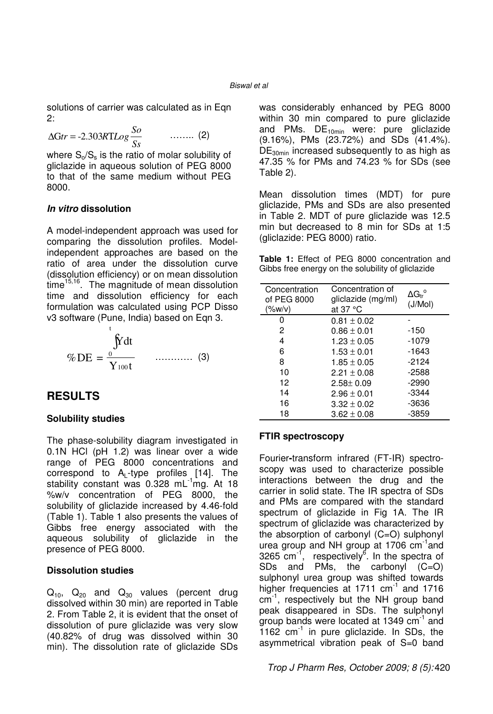solutions of carrier was calculated as in Eqn 2:

$$
\Delta \text{G} \text{tr} = -2.303 R \text{T} \text{Log} \frac{So}{Ss} \qquad \qquad \dots \dots \dots \tag{2}
$$

where  $S_0/S_s$  is the ratio of molar solubility of gliclazide in aqueous solution of PEG 8000 to that of the same medium without PEG 8000.

#### **In vitro dissolution**

A model-independent approach was used for comparing the dissolution profiles. Modelindependent approaches are based on the ratio of area under the dissolution curve (dissolution efficiency) or on mean dissolution  $time<sup>15,16</sup>$ . The magnitude of mean dissolution time and dissolution efficiency for each formulation was calculated using PCP Disso v3 software (Pune, India) based on Eqn 3.

$$
\% \text{DE} = \frac{\int_{0}^{t} \text{Fdt}}{Y_{100t}} \qquad \dots \qquad (3)
$$

### **RESULTS**

#### **Solubility studies**

The phase-solubility diagram investigated in 0.1N HCl (pH 1.2) was linear over a wide range of PEG 8000 concentrations and correspond to  $A_L$ -type profiles [14]. The stability constant was  $0.328 \text{ mL}^{-1}$ mg. At 18 %w/v concentration of PEG 8000, the solubility of gliclazide increased by 4.46-fold (Table 1). Table 1 also presents the values of Gibbs free energy associated with the aqueous solubility of gliclazide in the presence of PEG 8000.

#### **Dissolution studies**

 $Q_{10}$ ,  $Q_{20}$  and  $Q_{30}$  values (percent drug dissolved within 30 min) are reported in Table 2. From Table 2, it is evident that the onset of dissolution of pure gliclazide was very slow (40.82% of drug was dissolved within 30 min). The dissolution rate of gliclazide SDs was considerably enhanced by PEG 8000 within 30 min compared to pure gliclazide and PMs.  $DE_{10min}$  were: pure gliclazide (9.16%), PMs (23.72%) and SDs (41.4%). DE<sub>30min</sub> increased subsequently to as high as 47.35 % for PMs and 74.23 % for SDs (see Table 2).

Mean dissolution times (MDT) for pure gliclazide, PMs and SDs are also presented in Table 2. MDT of pure gliclazide was 12.5 min but decreased to 8 min for SDs at 1:5 (gliclazide: PEG 8000) ratio.

**Table 1:** Effect of PEG 8000 concentration and Gibbs free energy on the solubility of gliclazide

| Concentration<br>of PEG 8000<br>$(\%w/v)$ | Concentration of<br>gliclazide (mg/ml)<br>at 37 $\degree$ C | $\Delta G_{\text{tr}}^{\circ}$<br>(J/Mol) |
|-------------------------------------------|-------------------------------------------------------------|-------------------------------------------|
|                                           | $0.81 \pm 0.02$                                             |                                           |
| 2                                         | $0.86 \pm 0.01$                                             | $-150$                                    |
| 4                                         | $1.23 \pm 0.05$                                             | $-1079$                                   |
| 6                                         | $1.53 \pm 0.01$                                             | $-1643$                                   |
| 8                                         | $1.85 \pm 0.05$                                             | $-2124$                                   |
| 10                                        | $2.21 \pm 0.08$                                             | $-2588$                                   |
| 12                                        | $2.58 \pm 0.09$                                             | -2990                                     |
| 14                                        | $2.96 \pm 0.01$                                             | $-3344$                                   |
| 16                                        | $3.32 \pm 0.02$                                             | -3636                                     |
| 18                                        | $3.62 \pm 0.08$                                             | -3859                                     |

#### **FTIR spectroscopy**

Fourier**-**transform infrared (FT-IR) spectroscopy was used to characterize possible interactions between the drug and the carrier in solid state. The IR spectra of SDs and PMs are compared with the standard spectrum of gliclazide in Fig 1A. The IR spectrum of gliclazide was characterized by the absorption of carbonyl (C=O) sulphonyl urea group and NH group at 1706  $cm^{-1}$  and 3265 cm<sup>-1</sup>, respectively<sup>6</sup>. In the spectra of SDs and PMs, the carbonyl (C=O) sulphonyl urea group was shifted towards higher frequencies at  $1711 \text{ cm}^{-1}$  and  $1716$ cm<sup>-1</sup>, respectively but the NH group band peak disappeared in SDs. The sulphonyl group bands were located at 1349 cm<sup>-1</sup> and 1162  $cm^{-1}$  in pure gliclazide. In SDs, the asymmetrical vibration peak of S=0 band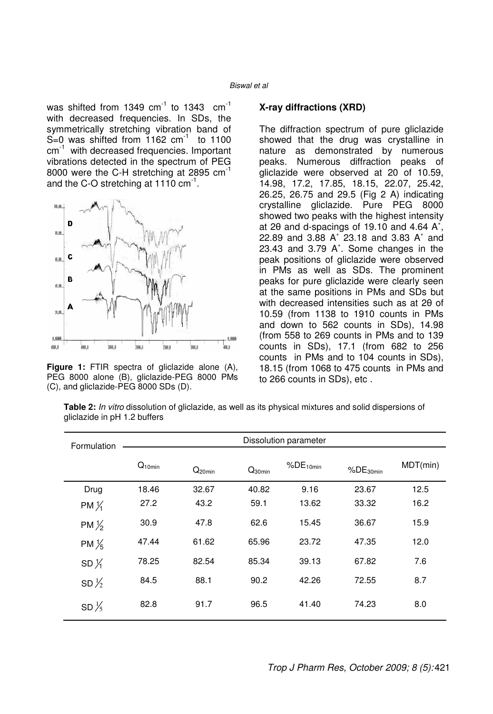was shifted from 1349  $cm^{-1}$  to 1343  $cm^{-1}$ with decreased frequencies. In SDs, the symmetrically stretching vibration band of S=0 was shifted from 1162  $cm^{-1}$  to 1100 cm<sup>-1</sup> with decreased frequencies. Important vibrations detected in the spectrum of PEG 8000 were the C-H stretching at 2895 cm<sup>-1</sup> and the C-O stretching at 1110  $cm^{-1}$ .



**Figure 1:** FTIR spectra of gliclazide alone (A), PEG 8000 alone (B), gliclazide-PEG 8000 PMs (C), and gliclazide-PEG 8000 SDs (D).

#### **X-ray diffractions (XRD)**

The diffraction spectrum of pure gliclazide showed that the drug was crystalline in nature as demonstrated by numerous peaks. Numerous diffraction peaks of gliclazide were observed at 20 of 10.59, 14.98, 17.2, 17.85, 18.15, 22.07, 25.42, 26.25, 26.75 and 29.5 (Fig 2 A) indicating crystalline gliclazide. Pure PEG 8000 showed two peaks with the highest intensity at 2θ and d-spacings of 19.10 and 4.64 A˚, 22.89 and 3.88 A˚ 23.18 and 3.83 A˚ and 23.43 and 3.79 A˚. Some changes in the peak positions of gliclazide were observed in PMs as well as SDs. The prominent peaks for pure gliclazide were clearly seen at the same positions in PMs and SDs but with decreased intensities such as at 2θ of 10.59 (from 1138 to 1910 counts in PMs and down to 562 counts in SDs), 14.98 (from 558 to 269 counts in PMs and to 139 counts in SDs), 17.1 (from 682 to 256 counts in PMs and to 104 counts in SDs), 18.15 (from 1068 to 475 counts in PMs and to 266 counts in SDs), etc .

**Table 2:** In vitro dissolution of gliclazide, as well as its physical mixtures and solid dispersions of gliclazide in pH 1.2 buffers

| Formulation      | Dissolution parameter |             |             |               |               |          |  |  |
|------------------|-----------------------|-------------|-------------|---------------|---------------|----------|--|--|
|                  | $Q_{10min}$           | $Q_{20min}$ | $Q_{30min}$ | $%DE_{10min}$ | $%DE_{30min}$ | MDT(min) |  |  |
| Drug             | 18.46                 | 32.67       | 40.82       | 9.16          | 23.67         | 12.5     |  |  |
| PM $\frac{1}{4}$ | 27.2                  | 43.2        | 59.1        | 13.62         | 33.32         | 16.2     |  |  |
| PM $\frac{1}{2}$ | 30.9                  | 47.8        | 62.6        | 15.45         | 36.67         | 15.9     |  |  |
| PM $\frac{1}{5}$ | 47.44                 | 61.62       | 65.96       | 23.72         | 47.35         | 12.0     |  |  |
| SD $\frac{1}{4}$ | 78.25                 | 82.54       | 85.34       | 39.13         | 67.82         | 7.6      |  |  |
| SD $\frac{1}{2}$ | 84.5                  | 88.1        | 90.2        | 42.26         | 72.55         | 8.7      |  |  |
| SD $\frac{1}{5}$ | 82.8                  | 91.7        | 96.5        | 41.40         | 74.23         | 8.0      |  |  |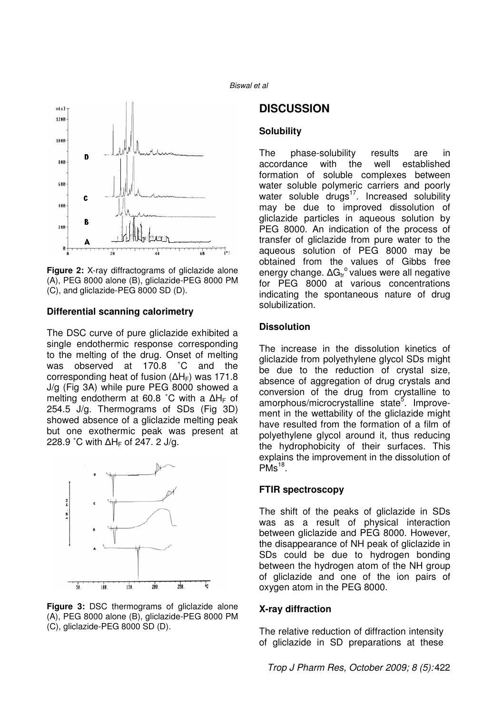



**Figure 2:** X-ray diffractograms of gliclazide alone (A), PEG 8000 alone (B), gliclazide-PEG 8000 PM (C), and gliclazide-PEG 8000 SD (D).

#### **Differential scanning calorimetry**

The DSC curve of pure gliclazide exhibited a single endothermic response corresponding to the melting of the drug. Onset of melting was observed at 170.8 ˚C and the corresponding heat of fusion ( $\Delta H_F$ ) was 171.8 J/g (Fig 3A) while pure PEG 8000 showed a melting endotherm at 60.8 °C with a ΔH<sub>F</sub> of 254.5 J/g. Thermograms of SDs (Fig 3D) showed absence of a gliclazide melting peak but one exothermic peak was present at 228.9 °C with ∆H<sub>F</sub> of 247. 2 J/g.



**Figure 3:** DSC thermograms of gliclazide alone (A), PEG 8000 alone (B), gliclazide-PEG 8000 PM (C), gliclazide-PEG 8000 SD (D).

### **DISCUSSION**

#### **Solubility**

The phase-solubility results are in accordance with the well established formation of soluble complexes between water soluble polymeric carriers and poorly water soluble drugs $17$ . Increased solubility may be due to improved dissolution of gliclazide particles in aqueous solution by PEG 8000. An indication of the process of transfer of gliclazide from pure water to the aqueous solution of PEG 8000 may be obtained from the values of Gibbs free energy change.  $\Delta G_{tr}^{\circ}$  values were all negative for PEG 8000 at various concentrations indicating the spontaneous nature of drug solubilization.

#### **Dissolution**

The increase in the dissolution kinetics of gliclazide from polyethylene glycol SDs might be due to the reduction of crystal size, absence of aggregation of drug crystals and conversion of the drug from crystalline to amorphous/microcrystalline state<sup>5</sup>. Improvement in the wettability of the gliclazide might have resulted from the formation of a film of polyethylene glycol around it, thus reducing the hydrophobicity of their surfaces. This explains the improvement in the dissolution of  $PMS<sup>18</sup>$ .

#### **FTIR spectroscopy**

The shift of the peaks of gliclazide in SDs was as a result of physical interaction between gliclazide and PEG 8000. However, the disappearance of NH peak of gliclazide in SDs could be due to hydrogen bonding between the hydrogen atom of the NH group of gliclazide and one of the ion pairs of oxygen atom in the PEG 8000.

#### **X-ray diffraction**

The relative reduction of diffraction intensity of gliclazide in SD preparations at these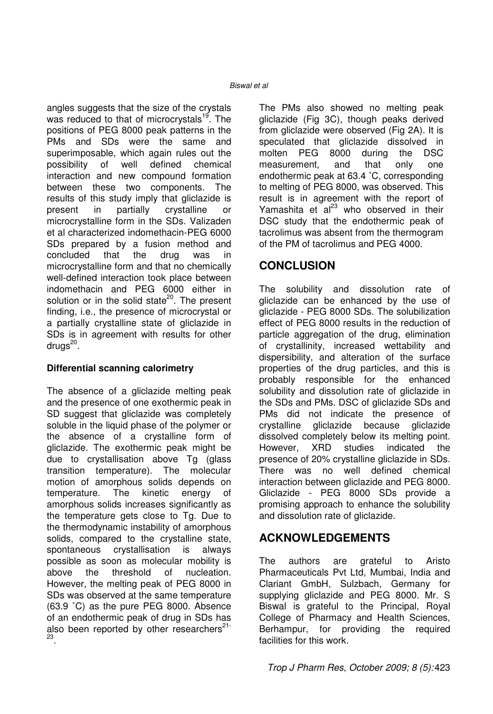angles suggests that the size of the crystals was reduced to that of microcrystals<sup>19</sup>. The positions of PEG 8000 peak patterns in the PMs and SDs were the same and superimposable, which again rules out the possibility of well defined chemical interaction and new compound formation between these two components. The results of this study imply that gliclazide is present in partially crystalline or microcrystalline form in the SDs. Valizaden et al characterized indomethacin-PEG 6000 SDs prepared by a fusion method and concluded that the drug was in microcrystalline form and that no chemically well-defined interaction took place between indomethacin and PEG 6000 either in solution or in the solid state $^{20}$ . The present finding, i.e., the presence of microcrystal or a partially crystalline state of gliclazide in SDs is in agreement with results for other drugs<sup>20</sup>.

#### **Differential scanning calorimetry**

The absence of a gliclazide melting peak and the presence of one exothermic peak in SD suggest that gliclazide was completely soluble in the liquid phase of the polymer or the absence of a crystalline form of gliclazide. The exothermic peak might be due to crystallisation above Tg (glass transition temperature). The molecular motion of amorphous solids depends on temperature. The kinetic energy of amorphous solids increases significantly as the temperature gets close to Tg. Due to the thermodynamic instability of amorphous solids, compared to the crystalline state, spontaneous crystallisation is always possible as soon as molecular mobility is above the threshold of nucleation. However, the melting peak of PEG 8000 in SDs was observed at the same temperature (63.9 ˚C) as the pure PEG 8000. Absence of an endothermic peak of drug in SDs has also been reported by other researchers $21$ -23 .

The PMs also showed no melting peak gliclazide (Fig 3C), though peaks derived from gliclazide were observed (Fig 2A). It is speculated that gliclazide dissolved in molten PEG 8000 during the DSC measurement, and that only one endothermic peak at 63.4 ˚C, corresponding to melting of PEG 8000, was observed. This result is in agreement with the report of Yamashita et  $a^{23}$  who observed in their DSC study that the endothermic peak of tacrolimus was absent from the thermogram of the PM of tacrolimus and PEG 4000.

## **CONCLUSION**

The solubility and dissolution rate of gliclazide can be enhanced by the use of gliclazide - PEG 8000 SDs. The solubilization effect of PEG 8000 results in the reduction of particle aggregation of the drug, elimination of crystallinity, increased wettability and dispersibility, and alteration of the surface properties of the drug particles, and this is probably responsible for the enhanced solubility and dissolution rate of gliclazide in the SDs and PMs. DSC of gliclazide SDs and PMs did not indicate the presence of crystalline gliclazide because gliclazide dissolved completely below its melting point. However, XRD studies indicated the presence of 20% crystalline gliclazide in SDs. There was no well defined chemical interaction between gliclazide and PEG 8000. Gliclazide - PEG 8000 SDs provide a promising approach to enhance the solubility and dissolution rate of gliclazide.

## **ACKNOWLEDGEMENTS**

The authors are grateful to Aristo Pharmaceuticals Pvt Ltd, Mumbai, India and Clariant GmbH, Sulzbach, Germany for supplying gliclazide and PEG 8000. Mr. S Biswal is grateful to the Principal, Royal College of Pharmacy and Health Sciences, Berhampur, for providing the required facilities for this work.